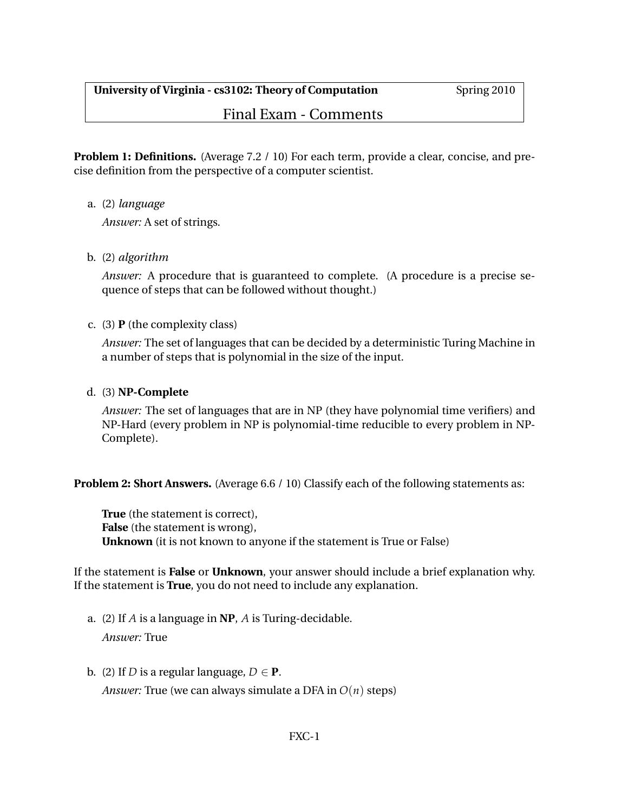Final Exam - Comments

**Problem 1: Definitions.** (Average 7.2 / 10) For each term, provide a clear, concise, and precise definition from the perspective of a computer scientist.

a. (2) *language*

*Answer:* A set of strings.

b. (2) *algorithm*

*Answer:* A procedure that is guaranteed to complete. (A procedure is a precise sequence of steps that can be followed without thought.)

### c. (3) **P** (the complexity class)

*Answer:* The set of languages that can be decided by a deterministic Turing Machine in a number of steps that is polynomial in the size of the input.

### d. (3) **NP-Complete**

*Answer:* The set of languages that are in NP (they have polynomial time verifiers) and NP-Hard (every problem in NP is polynomial-time reducible to every problem in NP-Complete).

**Problem 2: Short Answers.** (Average 6.6 / 10) Classify each of the following statements as:

**True** (the statement is correct), **False** (the statement is wrong), **Unknown** (it is not known to anyone if the statement is True or False)

If the statement is **False** or **Unknown**, your answer should include a brief explanation why. If the statement is **True**, you do not need to include any explanation.

- a. (2) If *A* is a language in **NP**, *A* is Turing-decidable. *Answer:* True
- b. (2) If *D* is a regular language,  $D \in \mathbf{P}$ . *Answer:* True (we can always simulate a DFA in *O*(*n*) steps)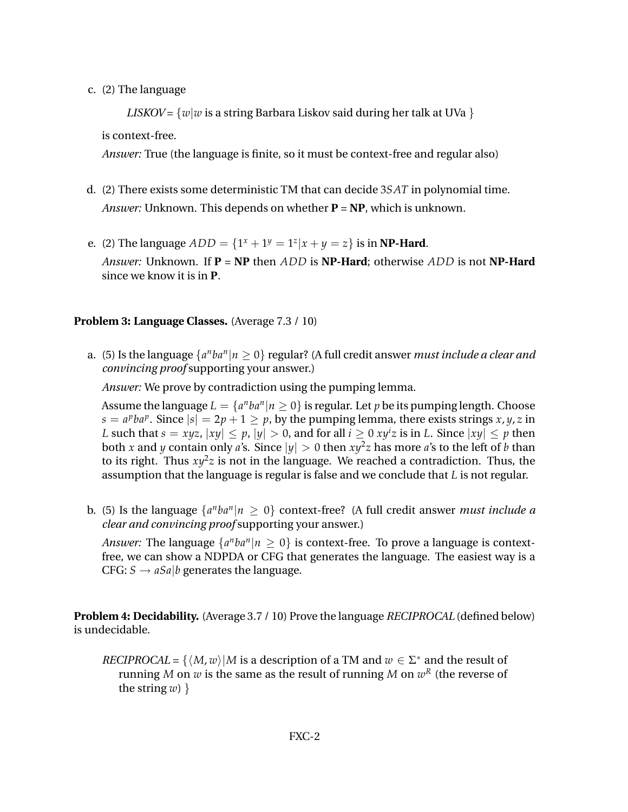c. (2) The language

*LISKOV* =  $\{w|w \text{ is a string Barbara Liskov said during her talk at UVa \}$ 

is context-free.

*Answer:* True (the language is finite, so it must be context-free and regular also)

- d. (2) There exists some deterministic TM that can decide 3*SAT* in polynomial time. *Answer:* Unknown. This depends on whether **P** = **NP**, which is unknown.
- e. (2) The language  $ADD = \{1^x + 1^y = 1^z | x + y = z\}$  is in **NP-Hard**. *Answer:* Unknown. If **P** = **NP** then *ADD* is **NP-Hard**; otherwise *ADD* is not **NP-Hard** since we know it is in **P**.

## **Problem 3: Language Classes.** (Average 7.3 / 10)

a. (5) Is the language  $\{a^nba^n|n\geq 0\}$  regular? (A full credit answer *must include a clear and convincing proof* supporting your answer.)

*Answer:* We prove by contradiction using the pumping lemma.

Assume the language  $L = \{a^nba^n | n \ge 0\}$  is regular. Let  $p$  be its pumping length. Choose  $s = a^pba^p$ . Since  $|s| = 2p + 1 \ge p$ , by the pumping lemma, there exists strings *x*, *y*, *z* in *L* such that  $s = xyz$ ,  $|xy| \le p$ ,  $|y| > 0$ , and for all  $i \ge 0$   $xy^i z$  is in *L*. Since  $|xy| \le p$  then both *x* and *y* contain only *a*'s. Since  $|y| > 0$  then  $xy^2z$  has more *a*'s to the left of *b* than to its right. Thus  $xy^2z$  is not in the language. We reached a contradiction. Thus, the assumption that the language is regular is false and we conclude that *L* is not regular.

b. (5) Is the language  $\{a^nba^n|n \geq 0\}$  context-free? (A full credit answer *must include a clear and convincing proof* supporting your answer.)

*Answer*: The language  $\{a^nba^n|n \geq 0\}$  is context-free. To prove a language is contextfree, we can show a NDPDA or CFG that generates the language. The easiest way is a CFG:  $S \rightarrow aSa/b$  generates the language.

**Problem 4: Decidability.** (Average 3.7 / 10) Prove the language *RECIPROCAL* (defined below) is undecidable.

*RECIPROCAL* = { $\langle M, w \rangle$ |*M* is a description of a TM and  $w \in \Sigma^*$  and the result of running  $M$  on  $w$  is the same as the result of running  $M$  on  $w^R$  (the reverse of the string  $w$ )  $\}$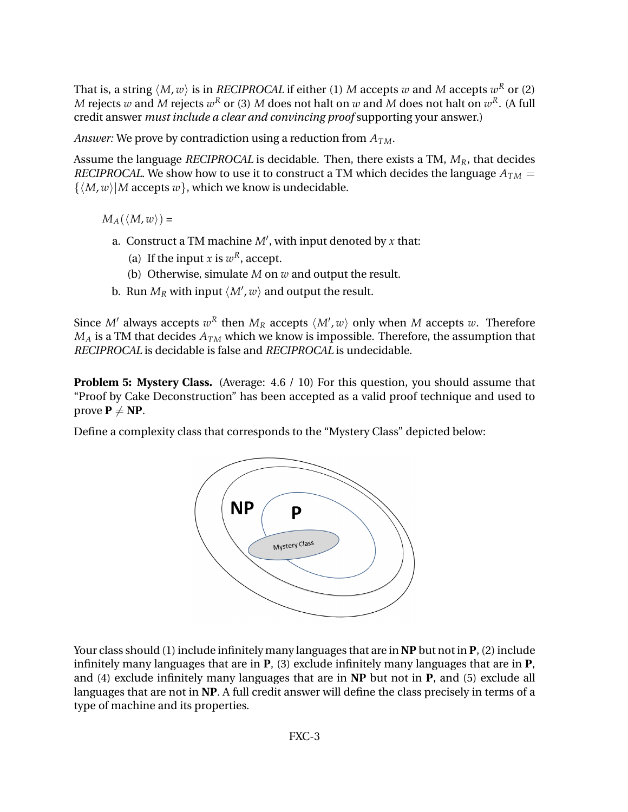That is, a string  $\langle M, w \rangle$  is in *RECIPROCAL* if either (1)  $M$  accepts  $w$  and  $M$  accepts  $w^R$  or (2) *M* rejects  $w$  and  $M$  rejects  $w^R$  or (3)  $M$  does not halt on  $w$  and  $M$  does not halt on  $w^R$ . (A full credit answer *must include a clear and convincing proof* supporting your answer.)

*Answer:* We prove by contradiction using a reduction from *ATM*.

Assume the language *RECIPROCAL* is decidable. Then, there exists a TM, *MR*, that decides *RECIPROCAL*. We show how to use it to construct a TM which decides the language  $A_{TM}$  =  $\{ \langle M, w \rangle | M$  accepts  $w \}$ , which we know is undecidable.

 $M_A(\langle M, w \rangle) =$ 

- a. Construct a TM machine  $M'$ , with input denoted by  $x$  that:
	- (a) If the input *x* is  $w^R$ , accept.
	- (b) Otherwise, simulate *M* on *w* and output the result.
- b. Run  $M_R$  with input  $\langle M', w \rangle$  and output the result.

Since  $M'$  always accepts  $w^R$  then  $M_R$  accepts  $\langle M', w \rangle$  only when  $M$  accepts  $w$ . Therefore  $M_A$  is a TM that decides  $A_{TM}$  which we know is impossible. Therefore, the assumption that *RECIPROCAL* is decidable is false and *RECIPROCAL* is undecidable.

**Problem 5: Mystery Class.** (Average: 4.6 / 10) For this question, you should assume that "Proof by Cake Deconstruction" has been accepted as a valid proof technique and used to prove  $P \neq NP$ .

Define a complexity class that corresponds to the "Mystery Class" depicted below:



Your class should (1) include infinitely many languages that are in **NP** but not in **P**, (2) include infinitely many languages that are in **P**, (3) exclude infinitely many languages that are in **P**, and (4) exclude infinitely many languages that are in **NP** but not in **P**, and (5) exclude all languages that are not in **NP**. A full credit answer will define the class precisely in terms of a type of machine and its properties.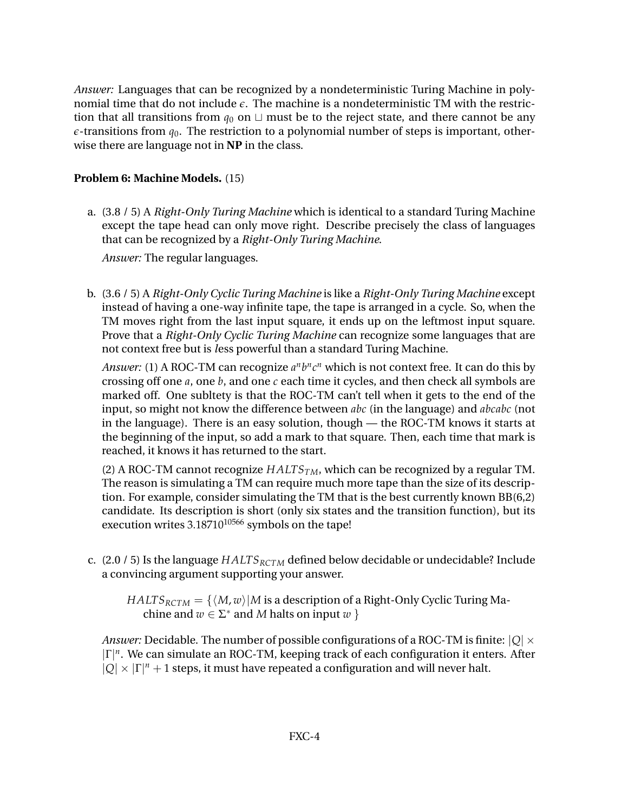*Answer:* Languages that can be recognized by a nondeterministic Turing Machine in polynomial time that do not include *e*. The machine is a nondeterministic TM with the restriction that all transitions from  $q_0$  on  $\sqcup$  must be to the reject state, and there cannot be any  $\epsilon$ -transitions from  $q_0$ . The restriction to a polynomial number of steps is important, otherwise there are language not in **NP** in the class.

# **Problem 6: Machine Models.** (15)

a. (3.8 / 5) A *Right-Only Turing Machine* which is identical to a standard Turing Machine except the tape head can only move right. Describe precisely the class of languages that can be recognized by a *Right-Only Turing Machine*.

*Answer:* The regular languages.

b. (3.6 / 5) A *Right-Only Cyclic Turing Machine* is like a *Right-Only Turing Machine* except instead of having a one-way infinite tape, the tape is arranged in a cycle. So, when the TM moves right from the last input square, it ends up on the leftmost input square. Prove that a *Right-Only Cyclic Turing Machine* can recognize some languages that are not context free but is *l*ess powerful than a standard Turing Machine.

Answer: (1) A ROC-TM can recognize  $a^n b^n c^n$  which is not context free. It can do this by crossing off one *a*, one *b*, and one *c* each time it cycles, and then check all symbols are marked off. One subltety is that the ROC-TM can't tell when it gets to the end of the input, so might not know the difference between *abc* (in the language) and *abcabc* (not in the language). There is an easy solution, though — the ROC-TM knows it starts at the beginning of the input, so add a mark to that square. Then, each time that mark is reached, it knows it has returned to the start.

(2) A ROC-TM cannot recognize  $HALTS<sub>TM</sub>$ , which can be recognized by a regular TM. The reason is simulating a TM can require much more tape than the size of its description. For example, consider simulating the TM that is the best currently known BB(6,2) candidate. Its description is short (only six states and the transition function), but its execution writes  $3.18710^{10566}$  symbols on the tape!

c. (2.0 / 5) Is the language *HALTSRCTM* defined below decidable or undecidable? Include a convincing argument supporting your answer.

*HALTS*<sub>*RCTM*</sub> =  $\{\langle M, w \rangle | M$  is a description of a Right-Only Cyclic Turing Machine and  $w \in \Sigma^*$  and M halts on input  $w$  }

*Answer:* Decidable. The number of possible configurations of a ROC-TM is finite:  $|Q| \times$ |Γ| *n* . We can simulate an ROC-TM, keeping track of each configuration it enters. After  $|Q| \times |\Gamma|^n + 1$  steps, it must have repeated a configuration and will never halt.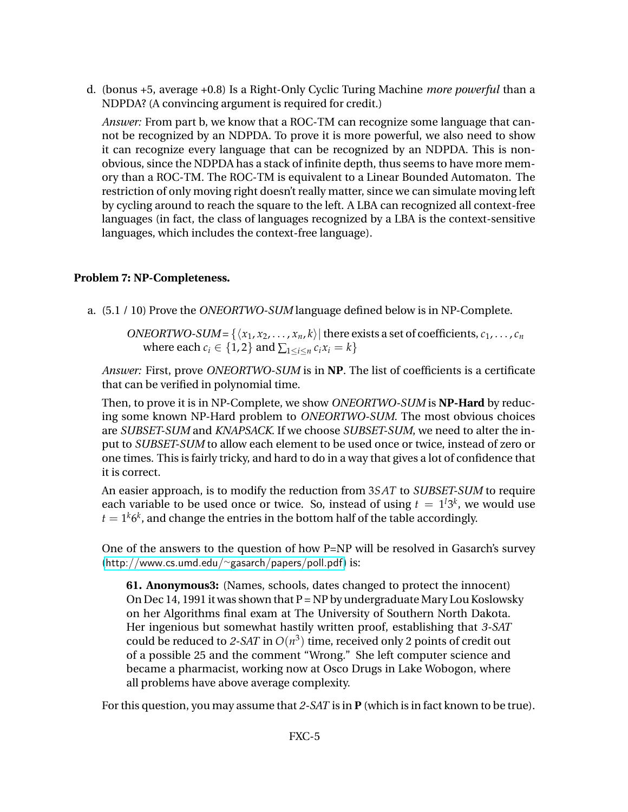d. (bonus +5, average +0.8) Is a Right-Only Cyclic Turing Machine *more powerful* than a NDPDA? (A convincing argument is required for credit.)

*Answer:* From part b, we know that a ROC-TM can recognize some language that cannot be recognized by an NDPDA. To prove it is more powerful, we also need to show it can recognize every language that can be recognized by an NDPDA. This is nonobvious, since the NDPDA has a stack of infinite depth, thus seems to have more memory than a ROC-TM. The ROC-TM is equivalent to a Linear Bounded Automaton. The restriction of only moving right doesn't really matter, since we can simulate moving left by cycling around to reach the square to the left. A LBA can recognized all context-free languages (in fact, the class of languages recognized by a LBA is the context-sensitive languages, which includes the context-free language).

## **Problem 7: NP-Completeness.**

a. (5.1 / 10) Prove the *ONEORTWO-SUM* language defined below is in NP-Complete.

*ONEORTWO-SUM* = { $\langle x_1, x_2, \ldots, x_n, k \rangle$ } there exists a set of coefficients,  $c_1, \ldots, c_n$ where each  $c_i \in \{1, 2\}$  and  $\sum_{1 \le i \le n} c_i x_i = k\}$ 

*Answer:* First, prove *ONEORTWO-SUM* is in **NP**. The list of coefficients is a certificate that can be verified in polynomial time.

Then, to prove it is in NP-Complete, we show *ONEORTWO-SUM* is **NP-Hard** by reducing some known NP-Hard problem to *ONEORTWO-SUM*. The most obvious choices are *SUBSET-SUM* and *KNAPSACK*. If we choose *SUBSET-SUM*, we need to alter the input to *SUBSET-SUM* to allow each element to be used once or twice, instead of zero or one times. This is fairly tricky, and hard to do in a way that gives a lot of confidence that it is correct.

An easier approach, is to modify the reduction from 3*SAT* to *SUBSET-SUM* to require each variable to be used once or twice. So, instead of using  $t = 1<sup>1</sup>3<sup>k</sup>$ , we would use  $t=1^k 6^k$ , and change the entries in the bottom half of the table accordingly.

One of the answers to the question of how P=NP will be resolved in Gasarch's survey ([http://www.cs.umd.edu/](http://www.cs.umd.edu/~gasarch/papers/poll.pdf)∼gasarch/papers/poll.pdf) is:

**61. Anonymous3:** (Names, schools, dates changed to protect the innocent) On Dec 14, 1991 it was shown that  $P = NP$  by undergraduate Mary Lou Koslowsky on her Algorithms final exam at The University of Southern North Dakota. Her ingenious but somewhat hastily written proof, establishing that *3-SAT* could be reduced to 2-SAT in  $O(n^3)$  time, received only 2 points of credit out of a possible 25 and the comment "Wrong." She left computer science and became a pharmacist, working now at Osco Drugs in Lake Wobogon, where all problems have above average complexity.

For this question, you may assume that *2-SAT* is in **P** (which is in fact known to be true).